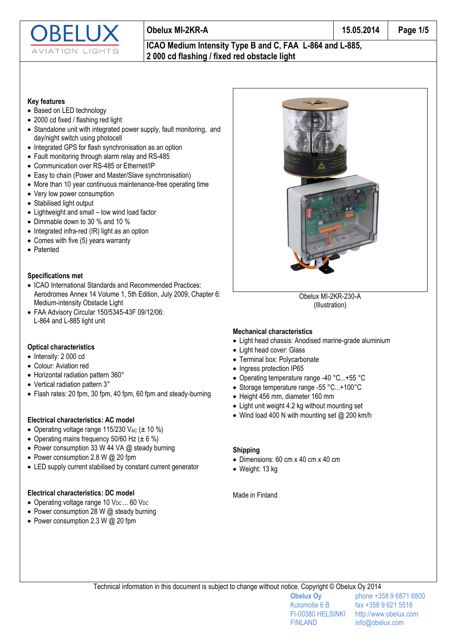

### **Obelux MI-2KR-A 15.05.2014 Page 1/5**

#### **ICAO Medium Intensity Type B and C, FAA L-864 and L-885, 2 000 cd flashing / fixed red obstacle light**

#### **Key features**

- Based on LED technology
- 2000 cd fixed / flashing red light
- Standalone unit with integrated power supply, fault monitoring, and day/night switch using photocell
- Integrated GPS for flash synchronisation as an option
- Fault monitoring through alarm relay and RS-485
- Communication over RS-485 or Ethernet/IP
- Easy to chain (Power and Master/Slave synchronisation)
- More than 10 year continuous maintenance-free operating time
- Very low power consumption
- Stabilised light output
- Lightweight and small low wind load factor
- Dimmable down to 30 % and 10 %
- $\bullet$  Integrated infra-red (IR) light as an option
- Comes with five (5) years warranty
- Patented

#### **Specifications met**

- ICAO International Standards and Recommended Practices: Aerodromes Annex 14 Volume 1, 5th Edition, July 2009, Chapter 6: Medium-intensity Obstacle Light
- FAA Advisory Circular 150/5345-43F 09/12/06: L-864 and L-885 light unit

#### **Optical characteristics**

- $\bullet$  Intensity: 2 000 cd
- Colour: Aviation red
- Horizontal radiation pattern 360°
- Vertical radiation pattern 3°
- Flash rates: 20 fpm, 30 fpm, 40 fpm, 60 fpm and steady-burning

#### **Electrical characteristics: AC model**

- Operating voltage range 115/230 V<sub>AC</sub>  $(\pm 10\%)$
- Operating mains frequency 50/60 Hz  $(\pm 6 \%)$
- Power consumption 33 W 44 VA @ steady burning
- Power consumption 2.8 W @ 20 fpm
- LED supply current stabilised by constant current generator

#### **Electrical characteristics: DC model**

- Operating voltage range 10  $V_{DC}$  ... 60  $V_{DC}$
- Power consumption 28 W @ steady burning
- Power consumption 2.3 W  $@$  20 fpm



Obelux MI-2KR-230-A (Illustration)

#### **Mechanical characteristics**

- Light head chassis: Anodised marine-grade aluminium
- Light head cover: Glass
- Terminal box: Polycarbonate
- Ingress protection IP65
- Operating temperature range -40 °C...+55 °C
- Storage temperature range -55 °C...+100°C
- Height 456 mm, diameter 160 mm
- Light unit weight 4.2 kg without mounting set
- Wind load 400 N with mounting set @ 200 km/h

#### **Shipping**

- Dimensions: 60 cm x 40 cm x 40 cm
- Weight: 13 kg

#### Made in Finland

Technical information in this document is subject to change without notice. Copyright © Obelux Oy 2014

FINLAND info@obelux.com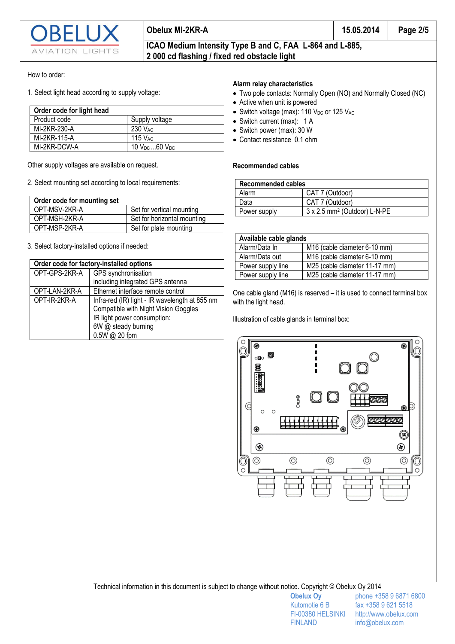

 $|G|$ 

# **2 000 cd flashing / fixed red obstacle light**

#### How to order:

1. Select light head according to supply voltage:

| Order code for light head |                         |
|---------------------------|-------------------------|
| Product code              | Supply voltage          |
| MI-2KR-230-A              | 230 V <sub>AC</sub>     |
| MI-2KR-115-A              | $115$ $V_{AC}$          |
| MI-2KR-DCW-A              | 10 $V_{DC}$ 60 $V_{DC}$ |

Other supply voltages are available on request.

2. Select mounting set according to local requirements:

| Order code for mounting set |                             |  |
|-----------------------------|-----------------------------|--|
| OPT-MSV-2KR-A               | Set for vertical mounting   |  |
| OPT-MSH-2KR-A               | Set for horizontal mounting |  |
| OPT-MSP-2KR-A               | Set for plate mounting      |  |

3. Select factory-installed options if needed:

| Order code for factory-installed options |                                                |  |
|------------------------------------------|------------------------------------------------|--|
| OPT-GPS-2KR-A                            | GPS synchronisation                            |  |
|                                          | including integrated GPS antenna               |  |
| OPT-LAN-2KR-A                            | Ethernet interface remote control              |  |
| OPT-IR-2KR-A                             | Infra-red (IR) light - IR wavelength at 855 nm |  |
|                                          | Compatible with Night Vision Goggles           |  |
|                                          | IR light power consumption:                    |  |
|                                          | 6W @ steady burning                            |  |
|                                          | 0.5W @ 20 fpm                                  |  |

#### **Alarm relay characteristics**

- Two pole contacts: Normally Open (NO) and Normally Closed (NC)
- Active when unit is powered
- $\bullet$  Switch voltage (max): 110 V<sub>DC</sub> or 125 V<sub>AC</sub>
- Switch current (max): 1 A
- Switch power (max): 30 W
- Contact resistance 0.1 ohm

#### **Recommended cables**

| <b>Recommended cables</b> |                                          |  |
|---------------------------|------------------------------------------|--|
| Alarm                     | CAT 7 (Outdoor)                          |  |
| Data                      | CAT 7 (Outdoor)                          |  |
| Power supply              | 3 x 2.5 mm <sup>2</sup> (Outdoor) L-N-PE |  |

| Available cable glands |                               |  |
|------------------------|-------------------------------|--|
| Alarm/Data In          | M16 (cable diameter 6-10 mm)  |  |
| Alarm/Data out         | M16 (cable diameter 6-10 mm)  |  |
| Power supply line      | M25 (cable diameter 11-17 mm) |  |
| Power supply line      | M25 (cable diameter 11-17 mm) |  |

One cable gland (M16) is reserved – it is used to connect terminal box with the light head.

Illustration of cable glands in terminal box:

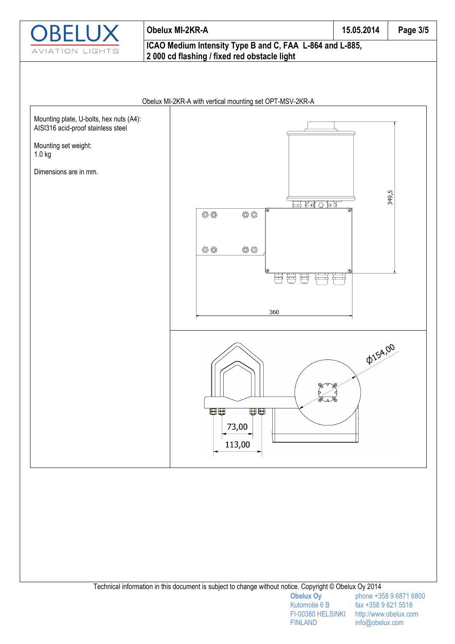

## **Obelux MI-2KR-A 15.05.2014 Page 3/5 ICAO Medium Intensity Type B and C, FAA L-864 and L-885, 2 000 cd flashing / fixed red obstacle light**



Technical information in this document is subject to change without notice. Copyright © Obelux Oy 2014

FINLAND info@obelux.com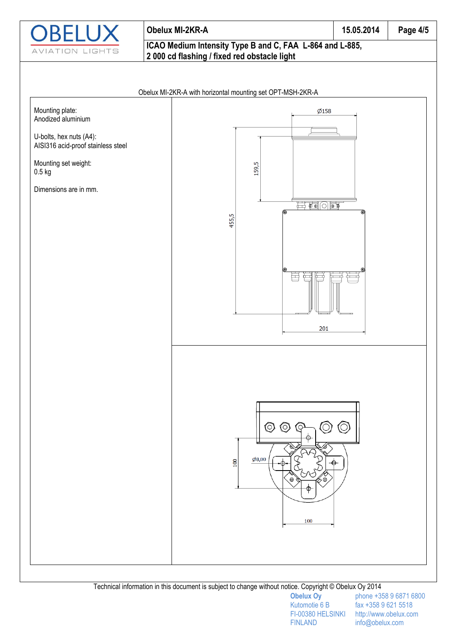

## **Obelux MI-2KR-A 15.05.2014 Page 4/5 ICAO Medium Intensity Type B and C, FAA L-864 and L-885, 2 000 cd flashing / fixed red obstacle light**





Technical information in this document is subject to change without notice. Copyright © Obelux Oy 2014

FINLAND info@obelux.com